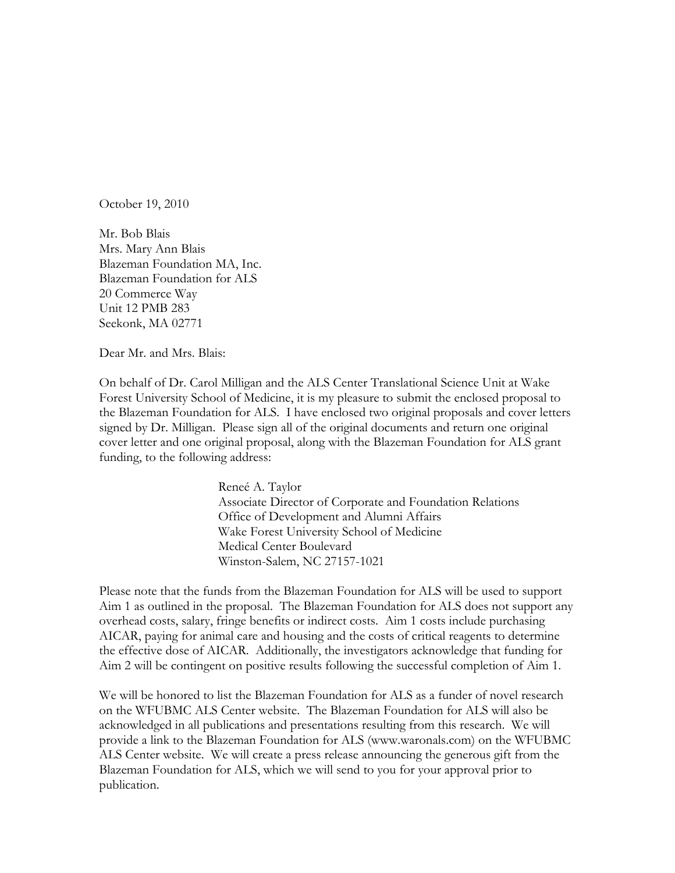October 19, 2010

Mr. Bob Blais Mrs. Mary Ann Blais Blazeman Foundation MA, Inc. Blazeman Foundation for ALS 20 Commerce Way Unit 12 PMB 283 Seekonk, MA 02771

Dear Mr. and Mrs. Blais:

On behalf of Dr. Carol Milligan and the ALS Center Translational Science Unit at Wake Forest University School of Medicine, it is my pleasure to submit the enclosed proposal to the Blazeman Foundation for ALS. I have enclosed two original proposals and cover letters signed by Dr. Milligan. Please sign all of the original documents and return one original cover letter and one original proposal, along with the Blazeman Foundation for ALS grant funding, to the following address:

> Reneé A. Taylor Associate Director of Corporate and Foundation Relations Office of Development and Alumni Affairs Wake Forest University School of Medicine Medical Center Boulevard Winston-Salem, NC 27157-1021

Please note that the funds from the Blazeman Foundation for ALS will be used to support Aim 1 as outlined in the proposal. The Blazeman Foundation for ALS does not support any overhead costs, salary, fringe benefits or indirect costs. Aim 1 costs include purchasing AICAR, paying for animal care and housing and the costs of critical reagents to determine the effective dose of AICAR. Additionally, the investigators acknowledge that funding for Aim 2 will be contingent on positive results following the successful completion of Aim 1.

We will be honored to list the Blazeman Foundation for ALS as a funder of novel research on the WFUBMC ALS Center website. The Blazeman Foundation for ALS will also be acknowledged in all publications and presentations resulting from this research. We will provide a link to the Blazeman Foundation for ALS (www.waronals.com) on the WFUBMC ALS Center website. We will create a press release announcing the generous gift from the Blazeman Foundation for ALS, which we will send to you for your approval prior to publication.